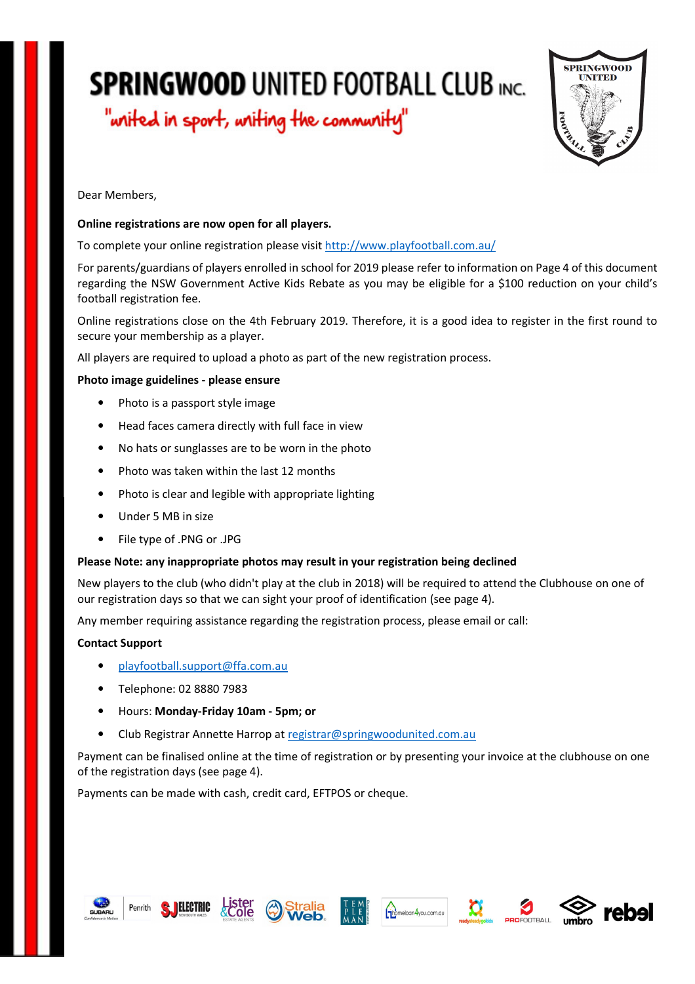"unifed in sport, unifing the community"



Dear Members,

#### Online registrations are now open for all players.

To complete your online registration please visit http://www.playfootball.com.au/

For parents/guardians of players enrolled in school for 2019 please refer to information on Page 4 of this document regarding the NSW Government Active Kids Rebate as you may be eligible for a \$100 reduction on your child's football registration fee.

Online registrations close on the 4th February 2019. Therefore, it is a good idea to register in the first round to secure your membership as a player.

All players are required to upload a photo as part of the new registration process.

#### Photo image guidelines - please ensure

- Photo is a passport style image
- Head faces camera directly with full face in view
- No hats or sunglasses are to be worn in the photo
- Photo was taken within the last 12 months
- Photo is clear and legible with appropriate lighting
- Under 5 MB in size
- File type of .PNG or .JPG

#### Please Note: any inappropriate photos may result in your registration being declined

New players to the club (who didn't play at the club in 2018) will be required to attend the Clubhouse on one of our registration days so that we can sight your proof of identification (see page 4).

Any member requiring assistance regarding the registration process, please email or call:

#### Contact Support

- playfootball.support@ffa.com.au
- Telephone: 02 8880 7983
- Hours: Monday-Friday 10am 5pm; or
- Club Registrar Annette Harrop at registrar@springwoodunited.com.au

Payment can be finalised online at the time of registration or by presenting your invoice at the clubhouse on one of the registration days (see page 4).

homeloan4you.com.au

Payments can be made with cash, credit card, EFTPOS or cheque.



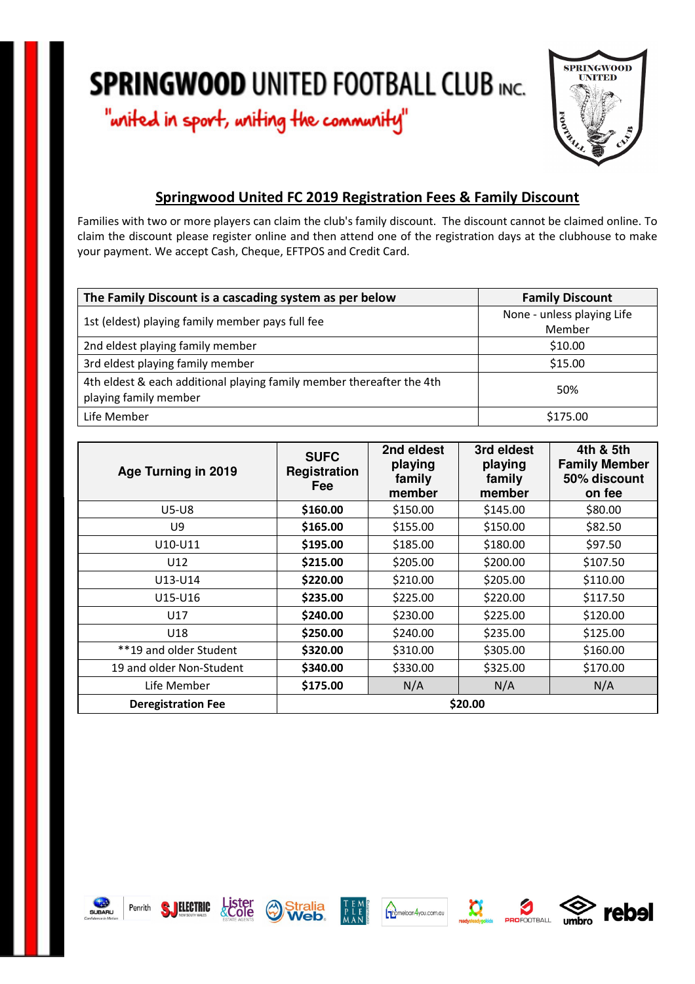"united in sport, uniting the community"



 $\alpha$ 

#### Springwood United FC 2019 Registration Fees & Family Discount

Families with two or more players can claim the club's family discount. The discount cannot be claimed online. To claim the discount please register online and then attend one of the registration days at the clubhouse to make your payment. We accept Cash, Cheque, EFTPOS and Credit Card.

| The Family Discount is a cascading system as per below                                         | <b>Family Discount</b>     |
|------------------------------------------------------------------------------------------------|----------------------------|
| 1st (eldest) playing family member pays full fee                                               | None - unless playing Life |
|                                                                                                | Member                     |
| 2nd eldest playing family member                                                               | \$10.00                    |
| 3rd eldest playing family member                                                               | \$15.00                    |
| 4th eldest & each additional playing family member thereafter the 4th<br>playing family member | 50%                        |
| Life Member                                                                                    | \$175.00                   |

| Age Turning in 2019       | <b>SUFC</b><br>Registration<br><b>Fee</b> | 2nd eldest<br>playing<br>family<br>member | 3rd eldest<br>playing<br>family<br>member | 4th & 5th<br><b>Family Member</b><br>50% discount<br>on fee |
|---------------------------|-------------------------------------------|-------------------------------------------|-------------------------------------------|-------------------------------------------------------------|
| $U5-U8$                   | \$160.00                                  | \$150.00                                  | \$145.00                                  | \$80.00                                                     |
| U9                        | \$165.00                                  | \$155.00                                  | \$150.00                                  | \$82.50                                                     |
| U10-U11                   | \$195.00                                  | \$185.00                                  | \$180.00                                  | \$97.50                                                     |
| U12                       | \$215.00                                  | \$205.00                                  | \$200.00                                  | \$107.50                                                    |
| U13-U14                   | \$220.00                                  | \$210.00                                  | \$205.00                                  | \$110.00                                                    |
| U15-U16                   | \$235.00                                  | \$225.00                                  | \$220.00                                  | \$117.50                                                    |
| U17                       | \$240.00                                  | \$230.00                                  | \$225.00                                  | \$120.00                                                    |
| U18                       | \$250.00                                  | \$240.00                                  | \$235.00                                  | \$125.00                                                    |
| **19 and older Student    | \$320.00                                  | \$310.00                                  | \$305.00                                  | \$160.00                                                    |
| 19 and older Non-Student  | \$340.00                                  | \$330.00                                  | \$325.00                                  | \$170.00                                                    |
| Life Member               | \$175.00                                  | N/A                                       | N/A                                       | N/A                                                         |
| <b>Deregistration Fee</b> | \$20.00                                   |                                           |                                           |                                                             |





alia<br>**eh** 

homeloan4you.com.au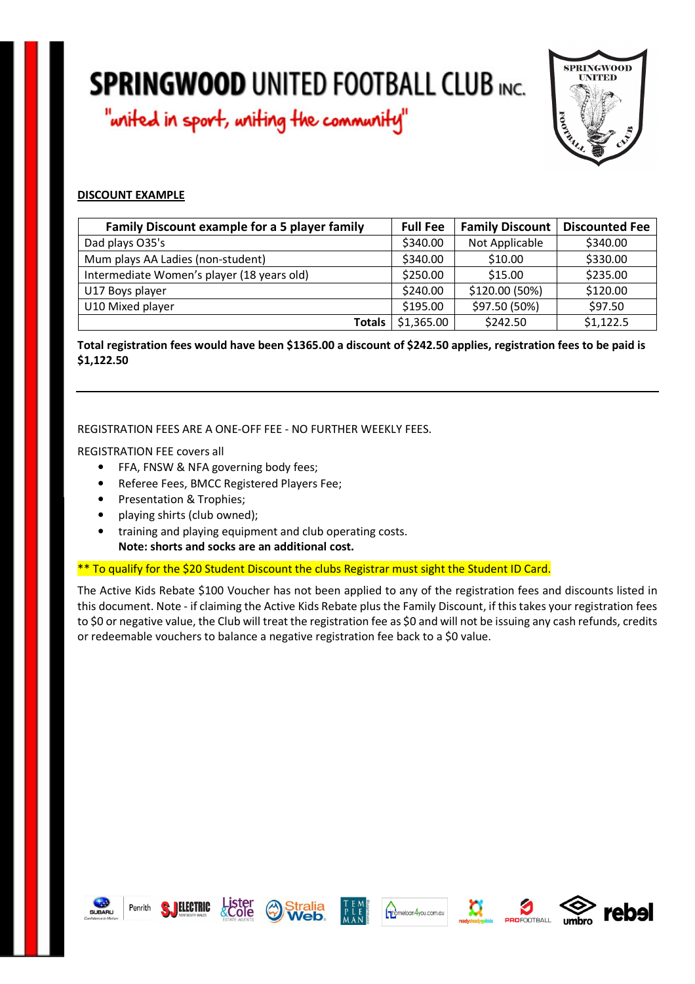"united in sport, uniting the community"



#### DISCOUNT EXAMPLE

| Family Discount example for a 5 player family | <b>Full Fee</b> | <b>Family Discount</b> | <b>Discounted Fee</b> |
|-----------------------------------------------|-----------------|------------------------|-----------------------|
| Dad plays O35's                               | \$340.00        | Not Applicable         | \$340.00              |
| Mum plays AA Ladies (non-student)             | \$340.00        | \$10.00                | \$330.00              |
| Intermediate Women's player (18 years old)    | \$250.00        | \$15.00                | \$235.00              |
| U17 Boys player                               | \$240.00        | \$120.00 (50%)         | \$120.00              |
| U10 Mixed player                              | \$195.00        | \$97.50 (50%)          | \$97.50               |
| <b>Totals</b>                                 | \$1,365.00      | \$242.50               | \$1,122.5             |

Total registration fees would have been \$1365.00 a discount of \$242.50 applies, registration fees to be paid is \$1,122.50

#### REGISTRATION FEES ARE A ONE-OFF FEE - NO FURTHER WEEKLY FEES.

REGISTRATION FEE covers all

- FFA, FNSW & NFA governing body fees;
- Referee Fees, BMCC Registered Players Fee;
- Presentation & Trophies;
- playing shirts (club owned);
- training and playing equipment and club operating costs.
- Note: shorts and socks are an additional cost.

\*\* To qualify for the \$20 Student Discount the clubs Registrar must sight the Student ID Card.

The Active Kids Rebate \$100 Voucher has not been applied to any of the registration fees and discounts listed in this document. Note - if claiming the Active Kids Rebate plus the Family Discount, if this takes your registration fees to \$0 or negative value, the Club will treat the registration fee as \$0 and will not be issuing any cash refunds, credits or redeemable vouchers to balance a negative registration fee back to a \$0 value.













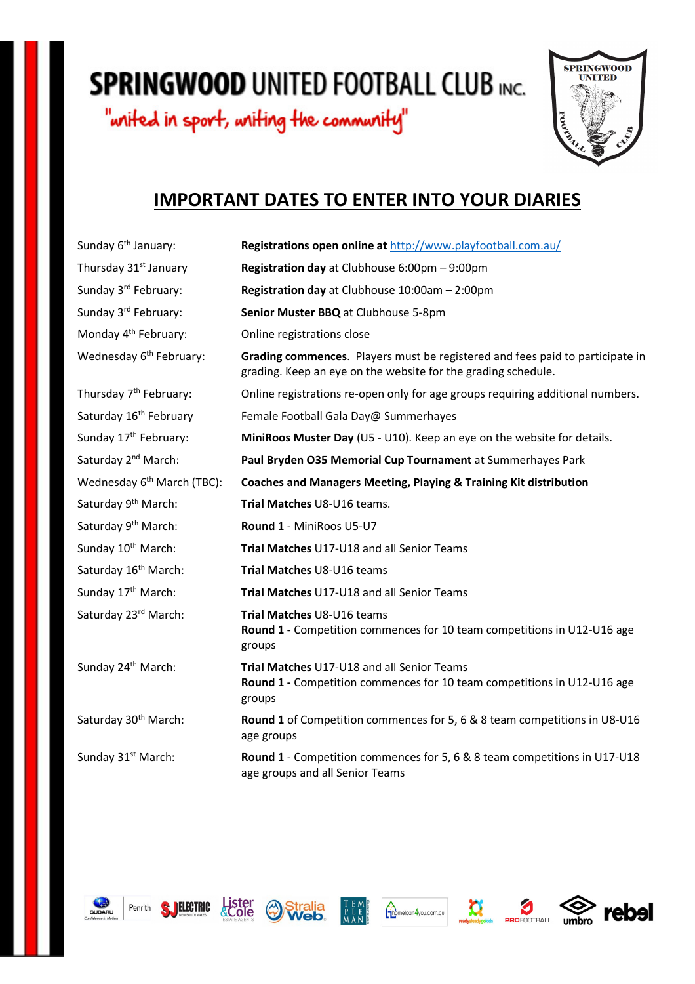"writed in sport, writing the community"



### IMPORTANT DATES TO ENTER INTO YOUR DIARIES

| Sunday 6 <sup>th</sup> January:        | Registrations open online at http://www.playfootball.com.au/                                                                                   |
|----------------------------------------|------------------------------------------------------------------------------------------------------------------------------------------------|
| Thursday 31 <sup>st</sup> January      | Registration day at Clubhouse 6:00pm - 9:00pm                                                                                                  |
| Sunday 3 <sup>rd</sup> February:       | Registration day at Clubhouse 10:00am - 2:00pm                                                                                                 |
| Sunday 3 <sup>rd</sup> February:       | Senior Muster BBQ at Clubhouse 5-8pm                                                                                                           |
| Monday 4 <sup>th</sup> February:       | Online registrations close                                                                                                                     |
| Wednesday 6 <sup>th</sup> February:    | Grading commences. Players must be registered and fees paid to participate in<br>grading. Keep an eye on the website for the grading schedule. |
| Thursday 7 <sup>th</sup> February:     | Online registrations re-open only for age groups requiring additional numbers.                                                                 |
| Saturday 16 <sup>th</sup> February     | Female Football Gala Day@ Summerhayes                                                                                                          |
| Sunday 17 <sup>th</sup> February:      | MiniRoos Muster Day (U5 - U10). Keep an eye on the website for details.                                                                        |
| Saturday 2 <sup>nd</sup> March:        | Paul Bryden O35 Memorial Cup Tournament at Summerhayes Park                                                                                    |
| Wednesday 6 <sup>th</sup> March (TBC): | Coaches and Managers Meeting, Playing & Training Kit distribution                                                                              |
| Saturday 9 <sup>th</sup> March:        | Trial Matches U8-U16 teams.                                                                                                                    |
| Saturday 9 <sup>th</sup> March:        | Round 1 - MiniRoos U5-U7                                                                                                                       |
| Sunday 10 <sup>th</sup> March:         | Trial Matches U17-U18 and all Senior Teams                                                                                                     |
| Saturday 16 <sup>th</sup> March:       | Trial Matches U8-U16 teams                                                                                                                     |
| Sunday 17th March:                     | Trial Matches U17-U18 and all Senior Teams                                                                                                     |
| Saturday 23rd March:                   | Trial Matches U8-U16 teams<br>Round 1 - Competition commences for 10 team competitions in U12-U16 age<br>groups                                |
| Sunday 24 <sup>th</sup> March:         | Trial Matches U17-U18 and all Senior Teams<br>Round 1 - Competition commences for 10 team competitions in U12-U16 age<br>groups                |
| Saturday 30 <sup>th</sup> March:       | Round 1 of Competition commences for 5, 6 & 8 team competitions in U8-U16<br>age groups                                                        |
| Sunday 31 <sup>st</sup> March:         | Round 1 - Competition commences for 5, 6 & 8 team competitions in U17-U18<br>age groups and all Senior Teams                                   |